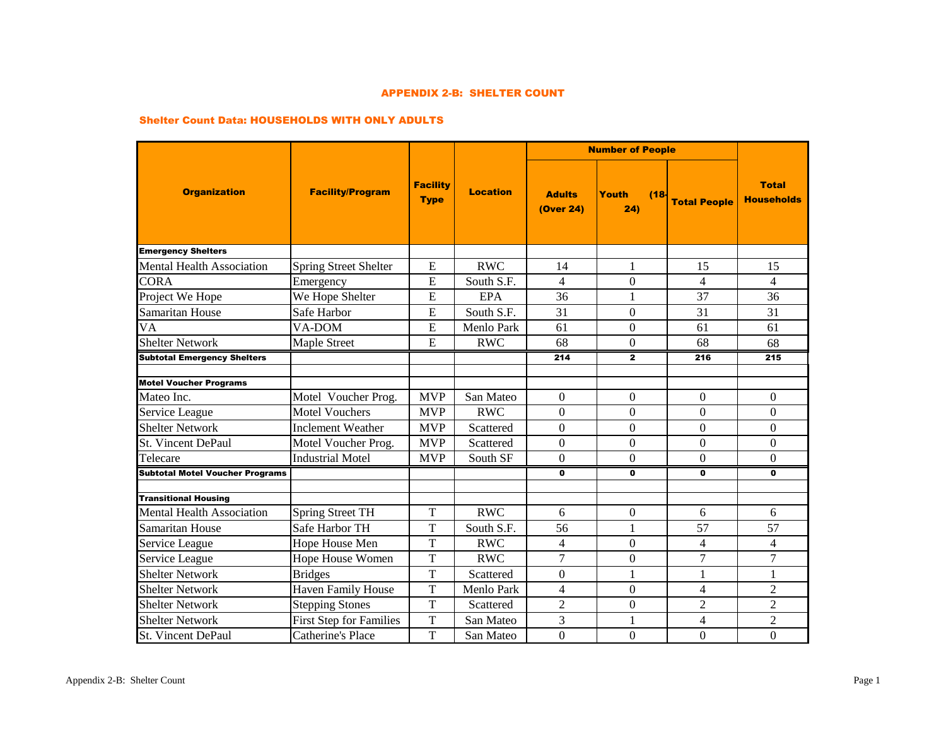#### APPENDIX 2-B: SHELTER COUNT

#### Shelter Count Data: HOUSEHOLDS WITH ONLY ADULTS

|                                        |                                |                                |                 |                            | <b>Number of People</b> |                     |                                   |
|----------------------------------------|--------------------------------|--------------------------------|-----------------|----------------------------|-------------------------|---------------------|-----------------------------------|
| <b>Organization</b>                    | <b>Facility/Program</b>        | <b>Facility</b><br><b>Type</b> | <b>Location</b> | <b>Adults</b><br>(Over 24) | Youth<br>(18)<br>24)    | <b>Total People</b> | <b>Total</b><br><b>Households</b> |
| <b>Emergency Shelters</b>              |                                |                                |                 |                            |                         |                     |                                   |
| <b>Mental Health Association</b>       | <b>Spring Street Shelter</b>   | E                              | <b>RWC</b>      | 14                         | 1                       | 15                  | 15                                |
| <b>CORA</b>                            | Emergency                      | E                              | South S.F.      | $\overline{\mathcal{L}}$   | $\mathbf{0}$            | $\overline{4}$      | $\overline{4}$                    |
| Project We Hope                        | We Hope Shelter                | E                              | EPA             | 36                         | 1                       | 37                  | 36                                |
| <b>Samaritan House</b>                 | Safe Harbor                    | E                              | South S.F.      | 31                         | $\Omega$                | 31                  | 31                                |
| <b>VA</b>                              | VA-DOM                         | ${\bf E}$                      | Menlo Park      | 61                         | $\mathbf{0}$            | 61                  | 61                                |
| <b>Shelter Network</b>                 | Maple Street                   | E                              | <b>RWC</b>      | 68                         | $\overline{0}$          | 68                  | 68                                |
| <b>Subtotal Emergency Shelters</b>     |                                |                                |                 | 214                        | $\mathbf{2}$            | 216                 | 215                               |
|                                        |                                |                                |                 |                            |                         |                     |                                   |
| <b>Motel Voucher Programs</b>          |                                |                                |                 |                            |                         |                     |                                   |
| Mateo Inc.                             | Motel Voucher Prog.            | <b>MVP</b>                     | San Mateo       | $\Omega$                   | $\Omega$                | $\Omega$            | $\Omega$                          |
| Service League                         | <b>Motel Vouchers</b>          | <b>MVP</b>                     | <b>RWC</b>      | $\Omega$                   | $\overline{0}$          | $\Omega$            | $\Omega$                          |
| <b>Shelter Network</b>                 | <b>Inclement Weather</b>       | <b>MVP</b>                     | Scattered       | $\Omega$                   | $\Omega$                | $\Omega$            | $\Omega$                          |
| St. Vincent DePaul                     | Motel Voucher Prog.            | <b>MVP</b>                     | Scattered       | $\Omega$                   | $\Omega$                | $\Omega$            | $\Omega$                          |
| Telecare                               | <b>Industrial Motel</b>        | <b>MVP</b>                     | South SF        | $\theta$                   | $\Omega$                | $\Omega$            | $\Omega$                          |
| <b>Subtotal Motel Voucher Programs</b> |                                |                                |                 | $\mathbf{0}$               | $\mathbf{0}$            | 0                   | 0                                 |
| <b>Transitional Housing</b>            |                                |                                |                 |                            |                         |                     |                                   |
| <b>Mental Health Association</b>       | <b>Spring Street TH</b>        | $\mathbf T$                    | <b>RWC</b>      | 6                          | $\mathbf{0}$            | 6                   | 6                                 |
| <b>Samaritan House</b>                 | Safe Harbor TH                 | T                              | South S.F.      | 56                         | 1                       | 57                  | 57                                |
| Service League                         | Hope House Men                 | T                              | <b>RWC</b>      | $\overline{4}$             | $\overline{0}$          | $\overline{4}$      | $\overline{4}$                    |
| Service League                         | Hope House Women               | $\mathbf T$                    | <b>RWC</b>      | 7                          | $\overline{0}$          | 7                   | 7                                 |
| <b>Shelter Network</b>                 | <b>Bridges</b>                 | T                              | Scattered       | $\Omega$                   | 1                       | 1                   | 1                                 |
| <b>Shelter Network</b>                 | <b>Haven Family House</b>      | $\overline{T}$                 | Menlo Park      | $\overline{4}$             | $\mathbf{0}$            | $\overline{4}$      | $\overline{2}$                    |
| <b>Shelter Network</b>                 | <b>Stepping Stones</b>         | $\overline{T}$                 | Scattered       | $\overline{2}$             | $\mathbf{0}$            | $\overline{2}$      | $\overline{2}$                    |
| <b>Shelter Network</b>                 | <b>First Step for Families</b> | T                              | San Mateo       | 3                          | 1                       | 4                   | $\overline{2}$                    |
| St. Vincent DePaul                     | Catherine's Place              | T                              | San Mateo       | $\overline{0}$             | $\mathbf{0}$            | $\overline{0}$      | $\overline{0}$                    |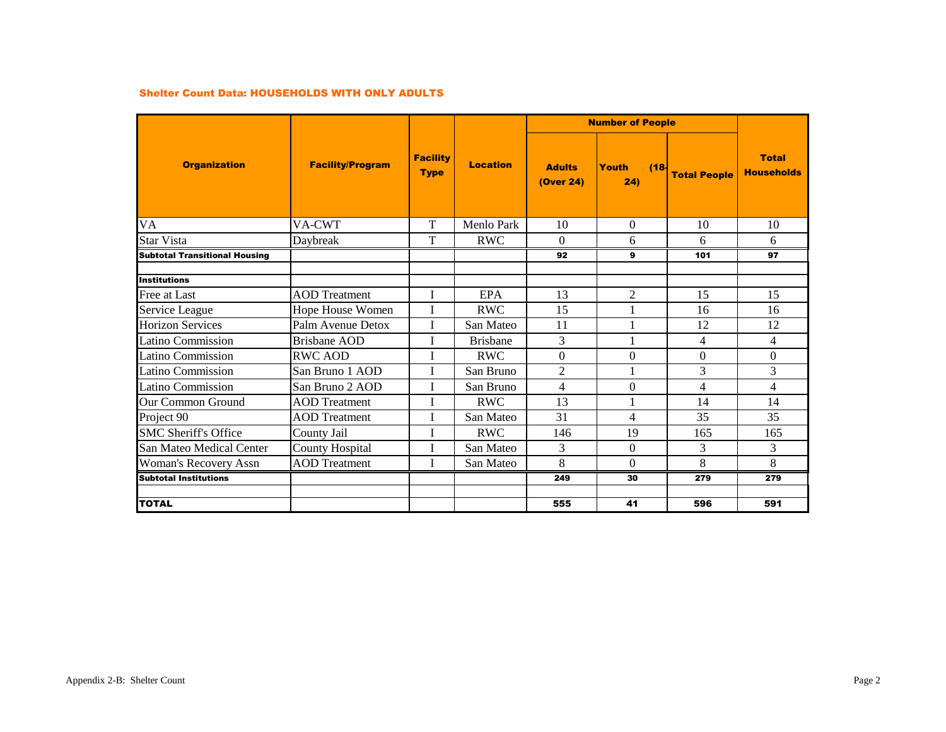#### Shelter Count Data: HOUSEHOLDS WITH ONLY ADULTS

|                                      |                         |                                |                 | <b>Number of People</b>           |                      |                     |                                   |
|--------------------------------------|-------------------------|--------------------------------|-----------------|-----------------------------------|----------------------|---------------------|-----------------------------------|
| <b>Organization</b>                  | <b>Facility/Program</b> | <b>Facility</b><br><b>Type</b> | <b>Location</b> | <b>Adults</b><br><b>(Over 24)</b> | Youth<br>(18)<br>24) | <b>Total People</b> | <b>Total</b><br><b>Households</b> |
| VA                                   | VA-CWT                  | T                              | Menlo Park      | 10                                | $\Omega$             | 10                  | 10                                |
| <b>Star Vista</b>                    | Daybreak                | $\mathbf T$                    | <b>RWC</b>      | $\Omega$                          | 6                    | 6                   | 6                                 |
| <b>Subtotal Transitional Housing</b> |                         |                                |                 | 92                                | 9                    | 101                 | 97                                |
| <b>Institutions</b>                  |                         |                                |                 |                                   |                      |                     |                                   |
| Free at Last                         | <b>AOD</b> Treatment    | I                              | <b>EPA</b>      | 13                                | $\overline{2}$       | 15                  | 15                                |
| Service League                       | Hope House Women        | T                              | <b>RWC</b>      | 15                                |                      | 16                  | 16                                |
| <b>Horizon Services</b>              | Palm Avenue Detox       | I                              | San Mateo       | 11                                | 1                    | 12                  | 12                                |
| Latino Commission                    | Brisbane AOD            | I                              | <b>Brishane</b> | 3                                 |                      | 4                   | $\overline{4}$                    |
| Latino Commission                    | <b>RWC AOD</b>          |                                | <b>RWC</b>      | $\Omega$                          | $\mathbf{0}$         | $\Omega$            | $\mathbf{0}$                      |
| Latino Commission                    | San Bruno 1 AOD         | T                              | San Bruno       | $\overline{2}$                    |                      | 3                   | 3                                 |
| Latino Commission                    | San Bruno 2 AOD         | T                              | San Bruno       | 4                                 | $\Omega$             | 4                   | $\overline{4}$                    |
| <b>Our Common Ground</b>             | <b>AOD</b> Treatment    |                                | <b>RWC</b>      | 13                                |                      | 14                  | 14                                |
| Project 90                           | <b>AOD</b> Treatment    | T                              | San Mateo       | 31                                | 4                    | 35                  | 35                                |
| <b>SMC Sheriff's Office</b>          | County Jail             | I                              | <b>RWC</b>      | 146                               | 19                   | 165                 | 165                               |
| San Mateo Medical Center             | <b>County Hospital</b>  | T                              | San Mateo       | 3                                 | $\Omega$             | 3                   | 3                                 |
| <b>Woman's Recovery Assn</b>         | <b>AOD</b> Treatment    |                                | San Mateo       | 8                                 | $\Omega$             | 8                   | 8                                 |
| <b>Subtotal Institutions</b>         |                         |                                |                 | 249                               | 30                   | 279                 | 279                               |
|                                      |                         |                                |                 |                                   |                      |                     |                                   |
| <b>TOTAL</b>                         |                         |                                |                 | 555                               | 41                   | 596                 | 591                               |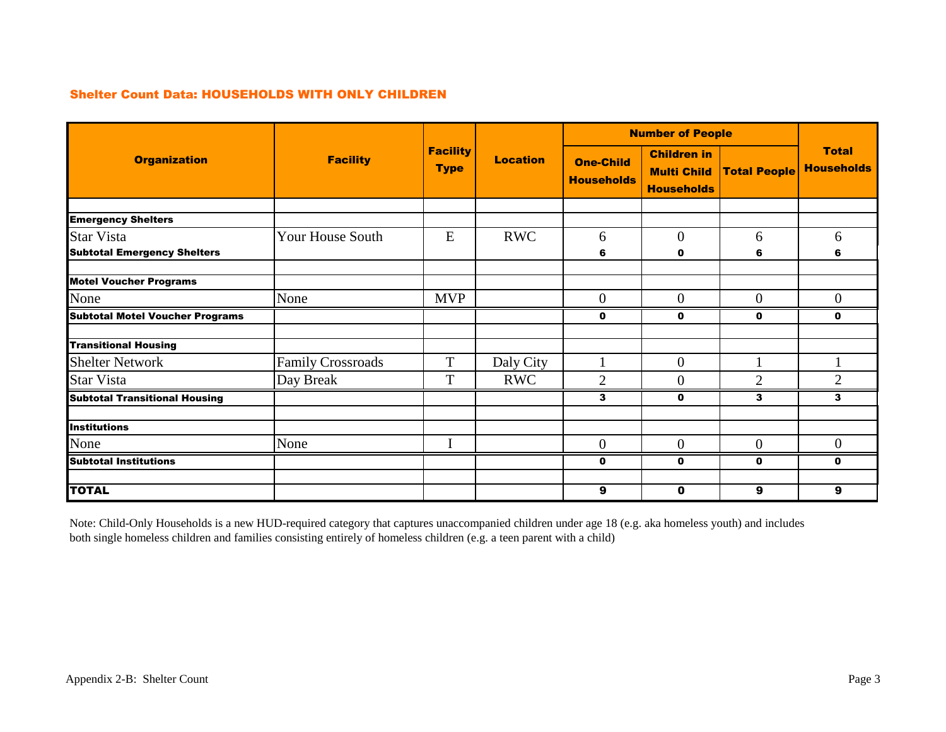## Shelter Count Data: HOUSEHOLDS WITH ONLY CHILDREN

|                                        | <b>Number of People</b>  |                                |                 |                                       |                                                               |                     |                                   |
|----------------------------------------|--------------------------|--------------------------------|-----------------|---------------------------------------|---------------------------------------------------------------|---------------------|-----------------------------------|
| <b>Organization</b>                    | <b>Facility</b>          | <b>Facility</b><br><b>Type</b> | <b>Location</b> | <b>One-Child</b><br><b>Households</b> | <b>Children in</b><br><b>Multi Child</b><br><b>Households</b> | <b>Total People</b> | <b>Total</b><br><b>Households</b> |
|                                        |                          |                                |                 |                                       |                                                               |                     |                                   |
| <b>Emergency Shelters</b>              |                          |                                |                 |                                       |                                                               |                     |                                   |
| <b>Star Vista</b>                      | Your House South         | E                              | <b>RWC</b>      | 6                                     | $\mathbf{0}$                                                  | 6                   | 6                                 |
| <b>Subtotal Emergency Shelters</b>     |                          |                                |                 | 6                                     | 0                                                             | 6                   | 6                                 |
|                                        |                          |                                |                 |                                       |                                                               |                     |                                   |
| <b>Motel Voucher Programs</b>          |                          |                                |                 |                                       |                                                               |                     |                                   |
| None                                   | None                     | <b>MVP</b>                     |                 | $\overline{0}$                        | $\overline{0}$                                                | $\overline{0}$      | $\overline{0}$                    |
| <b>Subtotal Motel Voucher Programs</b> |                          |                                |                 | 0                                     | $\mathbf 0$                                                   | $\mathbf{0}$        | $\mathbf 0$                       |
| <b>Transitional Housing</b>            |                          |                                |                 |                                       |                                                               |                     |                                   |
| <b>Shelter Network</b>                 | <b>Family Crossroads</b> | T                              | Daly City       |                                       | $\mathbf{0}$                                                  |                     |                                   |
| <b>Star Vista</b>                      | Day Break                | T                              | <b>RWC</b>      | $\overline{2}$                        | $\overline{0}$                                                | $\overline{2}$      | $\overline{2}$                    |
| <b>Subtotal Transitional Housing</b>   |                          |                                |                 | 3                                     | $\mathbf 0$                                                   | 3                   | 3                                 |
|                                        |                          |                                |                 |                                       |                                                               |                     |                                   |
| <b>Institutions</b>                    |                          |                                |                 |                                       |                                                               |                     |                                   |
| None                                   | None                     | I                              |                 | $\overline{0}$                        | $\mathbf{0}$                                                  | $\mathbf{0}$        | $\overline{0}$                    |
| Subtotal Institutions                  |                          |                                |                 | 0                                     | 0                                                             | $\mathbf{0}$        | $\mathbf 0$                       |
|                                        |                          |                                |                 |                                       |                                                               |                     |                                   |
| <b>TOTAL</b>                           |                          |                                |                 | 9                                     | $\mathbf 0$                                                   | 9                   | 9                                 |

Note: Child-Only Households is a new HUD-required category that captures unaccompanied children under age 18 (e.g. aka homeless youth) and includes both single homeless children and families consisting entirely of homeless children (e.g. a teen parent with a child)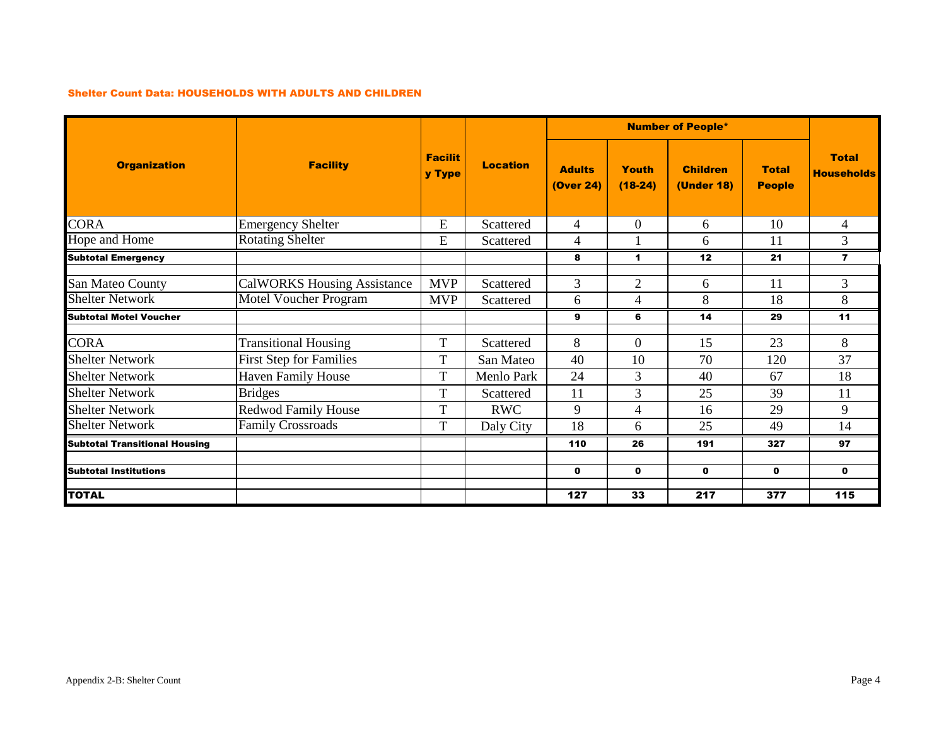#### Shelter Count Data: HOUSEHOLDS WITH ADULTS AND CHILDREN

|                                      |                                    |                          |                 |                            |                    | <b>Number of People*</b>             |                               |                                   |
|--------------------------------------|------------------------------------|--------------------------|-----------------|----------------------------|--------------------|--------------------------------------|-------------------------------|-----------------------------------|
| <b>Organization</b>                  | <b>Facility</b>                    | <b>Facilit</b><br>y Type | <b>Location</b> | <b>Adults</b><br>(Over 24) | Youth<br>$(18-24)$ | <b>Children</b><br><b>(Under 18)</b> | <b>Total</b><br><b>People</b> | <b>Total</b><br><b>Households</b> |
| <b>CORA</b>                          | <b>Emergency Shelter</b>           | ${\bf E}$                | Scattered       | 4                          | $\theta$           | 6                                    | 10                            | 4                                 |
| Hope and Home                        | <b>Rotating Shelter</b>            | E                        | Scattered       | 4                          |                    | 6                                    | 11                            | 3                                 |
| <b>Subtotal Emergency</b>            |                                    |                          |                 | 8                          | 1                  | 12                                   | 21                            | $\overline{7}$                    |
| San Mateo County                     | <b>CalWORKS Housing Assistance</b> | <b>MVP</b>               | Scattered       | 3                          | $\overline{2}$     | 6                                    | 11                            | 3                                 |
| <b>Shelter Network</b>               | <b>Motel Voucher Program</b>       | <b>MVP</b>               | Scattered       | 6                          | 4                  | 8                                    | 18                            | 8                                 |
| <b>Subtotal Motel Voucher</b>        |                                    |                          |                 | 9                          | 6                  | 14                                   | 29                            | 11                                |
| <b>CORA</b>                          | <b>Transitional Housing</b>        | T                        | Scattered       | 8                          | $\Omega$           | 15                                   | 23                            | 8                                 |
| <b>Shelter Network</b>               | <b>First Step for Families</b>     | T                        | San Mateo       | 40                         | 10                 | 70                                   | 120                           | 37                                |
| <b>Shelter Network</b>               | <b>Haven Family House</b>          | T                        | Menlo Park      | 24                         | 3                  | 40                                   | 67                            | 18                                |
| <b>Shelter Network</b>               | <b>Bridges</b>                     | T                        | Scattered       | 11                         | 3                  | 25                                   | 39                            | 11                                |
| <b>Shelter Network</b>               | <b>Redwod Family House</b>         | T                        | <b>RWC</b>      | 9                          | 4                  | 16                                   | 29                            | 9                                 |
| <b>Shelter Network</b>               | <b>Family Crossroads</b>           | T                        | Daly City       | 18                         | 6                  | 25                                   | 49                            | 14                                |
| <b>Subtotal Transitional Housing</b> |                                    |                          |                 | 110                        | 26                 | 191                                  | 327                           | 97                                |
| <b>Subtotal Institutions</b>         |                                    |                          |                 | $\mathbf 0$                | $\mathbf 0$        | $\mathbf 0$                          | $\mathbf 0$                   | $\mathbf 0$                       |
| <b>TOTAL</b>                         |                                    |                          |                 | 127                        | 33                 | 217                                  | 377                           | 115                               |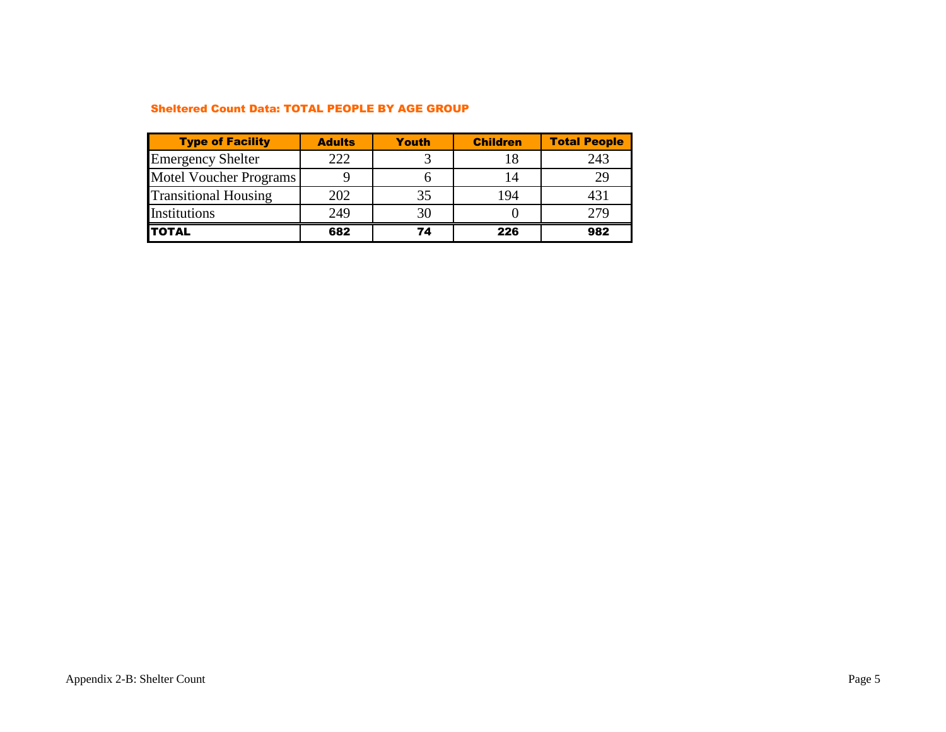#### Sheltered Count Data: TOTAL PEOPLE BY AGE GROUP

| <b>Type of Facility</b>     | <b>Adults</b> | Youth | <b>Children</b> | <b>Total People</b> |
|-----------------------------|---------------|-------|-----------------|---------------------|
| <b>Emergency Shelter</b>    | 222           |       |                 | 243                 |
| Motel Voucher Programs      |               |       | 14              | 29                  |
| <b>Transitional Housing</b> | 202           | 35    | 194             | 431                 |
| Institutions                | 249           | 30    |                 | 279                 |
| <b>TOTAL</b>                | 682           | 74    | 226             | 982                 |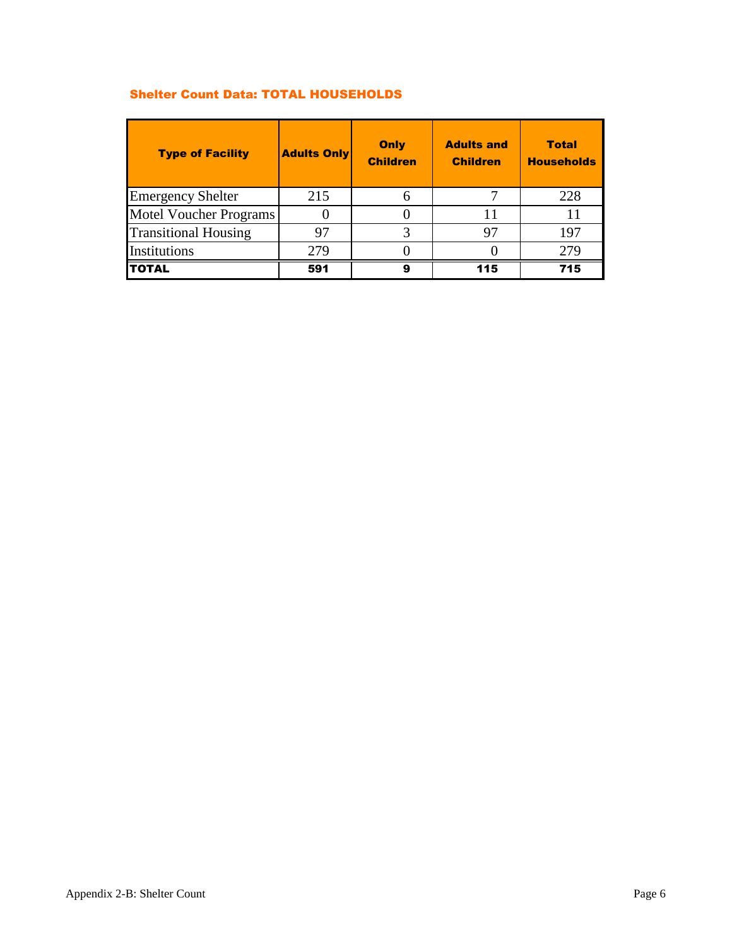# Shelter Count Data: TOTAL HOUSEHOLDS

| <b>Type of Facility</b>       | <b>Adults Only</b> | Only<br><b>Children</b> | <b>Adults and</b><br><b>Children</b> | <b>Total</b><br><b>Households</b> |
|-------------------------------|--------------------|-------------------------|--------------------------------------|-----------------------------------|
| <b>Emergency Shelter</b>      | 215                | 6                       |                                      | 228                               |
| <b>Motel Voucher Programs</b> |                    |                         | 11                                   | 11                                |
| <b>Transitional Housing</b>   | 97                 |                         | 97                                   | 197                               |
| Institutions                  | 279                |                         |                                      | 279                               |
| <b>TOTAL</b>                  | 591                | 9                       | 115                                  | 715                               |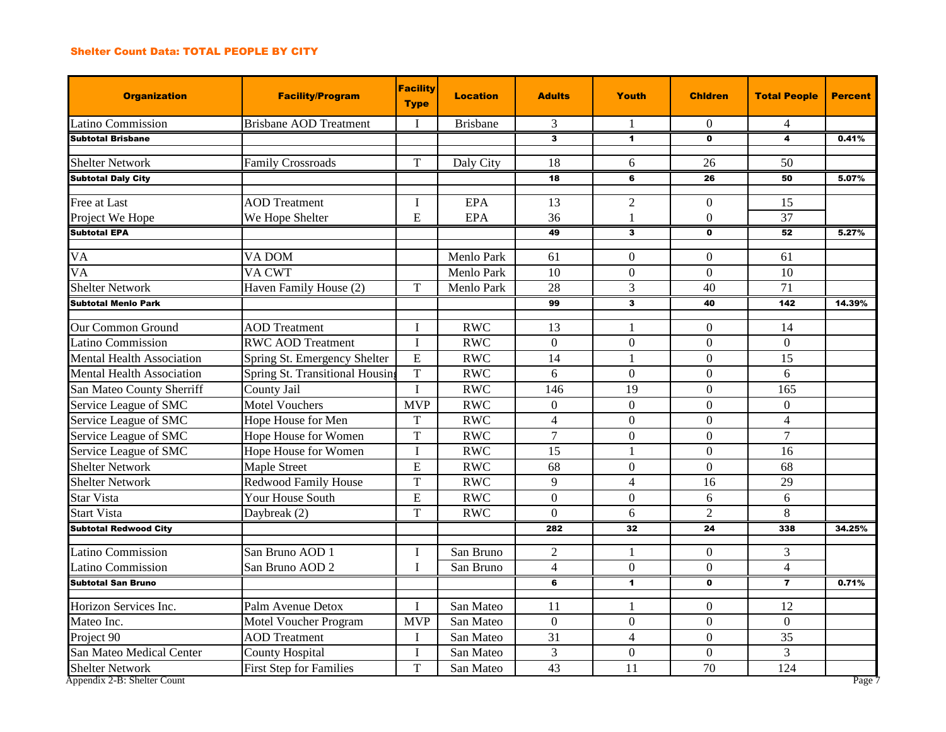### Shelter Count Data: TOTAL PEOPLE BY CITY

| <b>Organization</b>                    | <b>Facility/Program</b>         | <b>Facility</b><br><b>Type</b> | <b>Location</b> | <b>Adults</b>   | Youth                | <b>Chidren</b>       | <b>Total People</b> | <b>Percent</b> |
|----------------------------------------|---------------------------------|--------------------------------|-----------------|-----------------|----------------------|----------------------|---------------------|----------------|
| Latino Commission                      | <b>Brisbane AOD Treatment</b>   | I                              | <b>Brisbane</b> | 3               |                      | $\Omega$             | 4                   |                |
| <b>Subtotal Brisbane</b>               |                                 |                                |                 | 3               | $\blacktriangleleft$ | $\mathbf{0}$         | 4                   | 0.41%          |
| <b>Shelter Network</b>                 | <b>Family Crossroads</b>        | $\mathbf T$                    | Daly City       | 18              | 6                    | 26                   | 50                  |                |
| <b>Subtotal Daly City</b>              |                                 |                                |                 | 18              | 6                    | 26                   | 50                  | 5.07%          |
|                                        |                                 |                                |                 |                 |                      |                      |                     |                |
| Free at Last                           | <b>AOD</b> Treatment            | I<br>${\bf E}$                 | <b>EPA</b>      | 13              | $\overline{2}$       | $\theta$<br>$\Omega$ | 15<br>37            |                |
| Project We Hope<br><b>Subtotal EPA</b> | We Hope Shelter                 |                                | EPA             | 36              | 1                    |                      |                     |                |
|                                        |                                 |                                |                 | 49              | 3                    | $\mathbf 0$          | 52                  | 5.27%          |
| <b>VA</b>                              | VA DOM                          |                                | Menlo Park      | 61              | $\overline{0}$       | $\mathbf{0}$         | 61                  |                |
| $\overline{VA}$                        | VA CWT                          |                                | Menlo Park      | $\overline{10}$ | $\overline{0}$       | $\overline{0}$       | 10                  |                |
| <b>Shelter Network</b>                 | Haven Family House (2)          | T                              | Menlo Park      | $\overline{28}$ | 3                    | 40                   | $\overline{71}$     |                |
| Subtotal Menio Park                    |                                 |                                |                 | 99              | 3                    | 40                   | 142                 | 14.39%         |
|                                        |                                 |                                |                 |                 |                      |                      |                     |                |
| Our Common Ground                      | <b>AOD</b> Treatment            | I                              | <b>RWC</b>      | 13              | $\mathbf{1}$         | $\theta$             | 14                  |                |
| Latino Commission                      | <b>RWC AOD Treatment</b>        | $\mathbf I$                    | <b>RWC</b>      | $\overline{0}$  | $\overline{0}$       | $\Omega$             | $\overline{0}$      |                |
| <b>Mental Health Association</b>       | Spring St. Emergency Shelter    | E                              | <b>RWC</b>      | 14              |                      | $\overline{0}$       | 15                  |                |
| <b>Mental Health Association</b>       | Spring St. Transitional Housing | T                              | <b>RWC</b>      | 6               | $\overline{0}$       | $\overline{0}$       | 6                   |                |
| San Mateo County Sherriff              | County Jail                     | $\mathbf I$                    | <b>RWC</b>      | 146             | 19                   | $\overline{0}$       | 165                 |                |
| Service League of SMC                  | <b>Motel Vouchers</b>           | <b>MVP</b>                     | <b>RWC</b>      | $\Omega$        | $\Omega$             | $\Omega$             | $\overline{0}$      |                |
| Service League of SMC                  | Hope House for Men              | $\mathbf T$                    | <b>RWC</b>      | $\overline{4}$  | $\overline{0}$       | $\Omega$             | $\overline{4}$      |                |
| Service League of SMC                  | Hope House for Women            | $\mathbf T$                    | <b>RWC</b>      | $\overline{7}$  | $\overline{0}$       | $\overline{0}$       | $\overline{7}$      |                |
| Service League of SMC                  | Hope House for Women            | $\mathbf I$                    | <b>RWC</b>      | 15              |                      | $\mathbf{0}$         | 16                  |                |
| <b>Shelter Network</b>                 | <b>Maple Street</b>             | E                              | <b>RWC</b>      | $\overline{68}$ | $\overline{0}$       | $\overline{0}$       | 68                  |                |
| <b>Shelter Network</b>                 | Redwood Family House            | $\mathbf T$                    | <b>RWC</b>      | 9               | $\overline{4}$       | 16                   | 29                  |                |
| <b>Star Vista</b>                      | Your House South                | E                              | <b>RWC</b>      | $\overline{0}$  | $\overline{0}$       | 6                    | 6                   |                |
| <b>Start Vista</b>                     | Daybreak (2)                    | T                              | <b>RWC</b>      | $\overline{0}$  | 6                    | $\overline{2}$       | 8                   |                |
| <b>Subtotal Redwood City</b>           |                                 |                                |                 | 282             | 32                   | 24                   | 338                 | 34.25%         |
| Latino Commission                      | San Bruno AOD 1                 | $\mathbf I$                    | San Bruno       | $\overline{2}$  | $\mathbf{1}$         | $\theta$             | 3                   |                |
| Latino Commission                      | San Bruno AOD 2                 | I                              | San Bruno       | $\overline{4}$  | $\overline{0}$       | $\mathbf{0}$         | $\overline{4}$      |                |
| <b>Subtotal San Bruno</b>              |                                 |                                |                 | 6               | 1                    | $\mathbf 0$          | $\overline{7}$      | 0.71%          |
| Horizon Services Inc.                  | Palm Avenue Detox               | $\mathbf{I}$                   | San Mateo       | 11              | $\mathbf{1}$         | $\theta$             | 12                  |                |
| Mateo Inc.                             | Motel Voucher Program           | <b>MVP</b>                     | San Mateo       | $\Omega$        | $\Omega$             | $\Omega$             | $\Omega$            |                |
| Project 90                             | <b>AOD</b> Treatment            | I                              | San Mateo       | 31              | $\overline{4}$       | $\overline{0}$       | 35                  |                |
| San Mateo Medical Center               | <b>County Hospital</b>          | I                              | San Mateo       | $\overline{3}$  | $\boldsymbol{0}$     | $\Omega$             | 3                   |                |
| <b>Shelter Network</b>                 | <b>First Step for Families</b>  | T                              | San Mateo       | 43              | 11                   | 70                   | 124                 |                |
| Appendix 2-B: Shelter Count            |                                 |                                |                 |                 |                      |                      |                     | Page 7         |